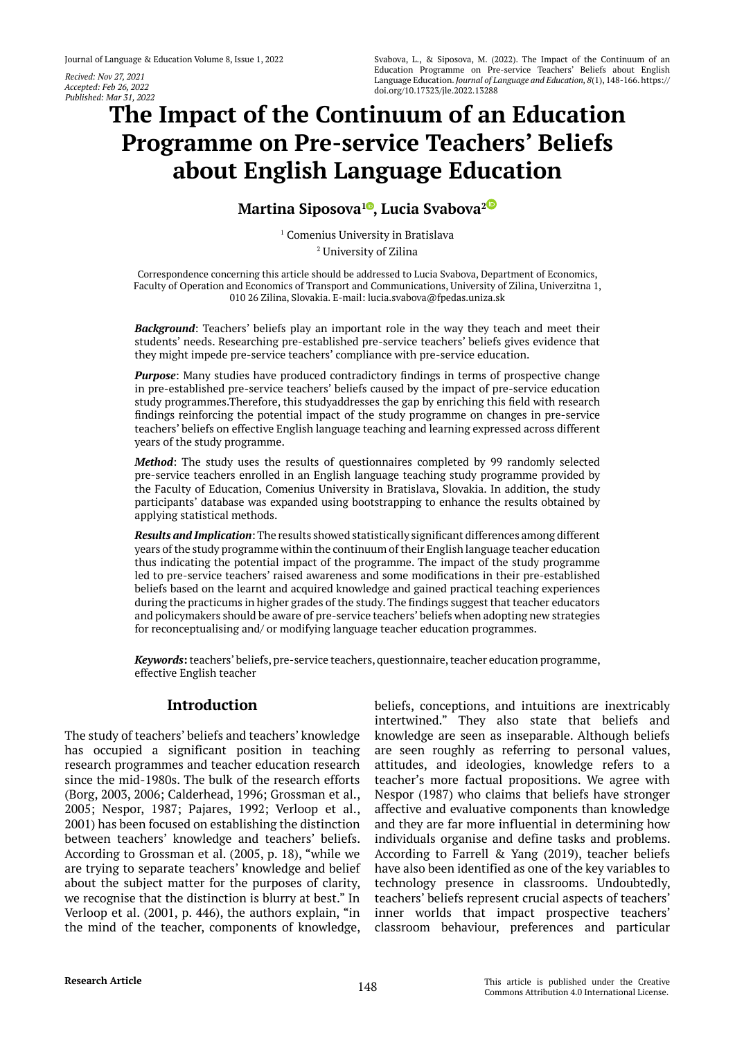*Recived: Nov 27, 2021 Accepted: Feb 26, 2022 Published: Mar 31, 2022*

# **The Impact of the Continuum of an Education Programme on Pre-service Teachers' Beliefs about English Language Education**

**Martina Siposova<sup>1</sup><sup></sup>[,](https://orcid.org/0000-0002-0329-1363) Lucia Svabova<sup>[2](https://orcid.org/0000-0002-4722-4103)<sup><sup>®</sup></sup>**</sup>

<sup>1</sup> Comenius University in Bratislava 2 University of Zilina

Correspondence concerning this article should be addressed to Lucia Svabova, Department of Economics, Faculty of Operation and Economics of Transport and Communications, University of Zilina, Univerzitna 1, 010 26 Zilina, Slovakia. E-mail: lucia.svabova@fpedas.uniza.sk

*Background*: Teachers' beliefs play an important role in the way they teach and meet their students' needs. Researching pre-established pre-service teachers' beliefs gives evidence that they might impede pre-service teachers' compliance with pre-service education.

*Purpose*: Many studies have produced contradictory findings in terms of prospective change in pre-established pre-service teachers' beliefs caused by the impact of pre-service education study programmes.Therefore, this studyaddresses the gap by enriching this field with research findings reinforcing the potential impact of the study programme on changes in pre-service teachers' beliefs on effective English language teaching and learning expressed across different years of the study programme.

*Method*: The study uses the results of questionnaires completed by 99 randomly selected pre-service teachers enrolled in an English language teaching study programme provided by the Faculty of Education, Comenius University in Bratislava, Slovakia. In addition, the study participants' database was expanded using bootstrapping to enhance the results obtained by applying statistical methods.

*Results and Implication*: The results showed statistically significant differences among different years of the study programme within the continuum of their English language teacher education thus indicating the potential impact of the programme. The impact of the study programme led to pre-service teachers' raised awareness and some modifications in their pre-established beliefs based on the learnt and acquired knowledge and gained practical teaching experiences during the practicums in higher grades of the study. The findings suggest that teacher educators and policymakers should be aware of pre-service teachers' beliefs when adopting new strategies for reconceptualising and/ or modifying language teacher education programmes.

*Keywords***:** teachers' beliefs, pre-service teachers, questionnaire, teacher education programme, effective English teacher

# **Introduction**

The study of teachers' beliefs and teachers' knowledge has occupied a significant position in teaching research programmes and teacher education research since the mid-1980s. The bulk of the research efforts (Borg, 2003, 2006; Calderhead, 1996; Grossman et al., 2005; Nespor, 1987; Pajares, 1992; Verloop et al., 2001) has been focused on establishing the distinction between teachers' knowledge and teachers' beliefs. According to Grossman et al. (2005, p. 18), "while we are trying to separate teachers' knowledge and belief about the subject matter for the purposes of clarity, we recognise that the distinction is blurry at best." In Verloop et al. (2001, p. 446), the authors explain, "in the mind of the teacher, components of knowledge,

beliefs, conceptions, and intuitions are inextricably intertwined." They also state that beliefs and knowledge are seen as inseparable. Although beliefs are seen roughly as referring to personal values, attitudes, and ideologies, knowledge refers to a teacher's more factual propositions. We agree with Nespor (1987) who claims that beliefs have stronger affective and evaluative components than knowledge and they are far more influential in determining how individuals organise and define tasks and problems. According to Farrell & Yang (2019), teacher beliefs have also been identified as one of the key variables to technology presence in classrooms. Undoubtedly, teachers' beliefs represent crucial aspects of teachers' inner worlds that impact prospective teachers' classroom behaviour, preferences and particular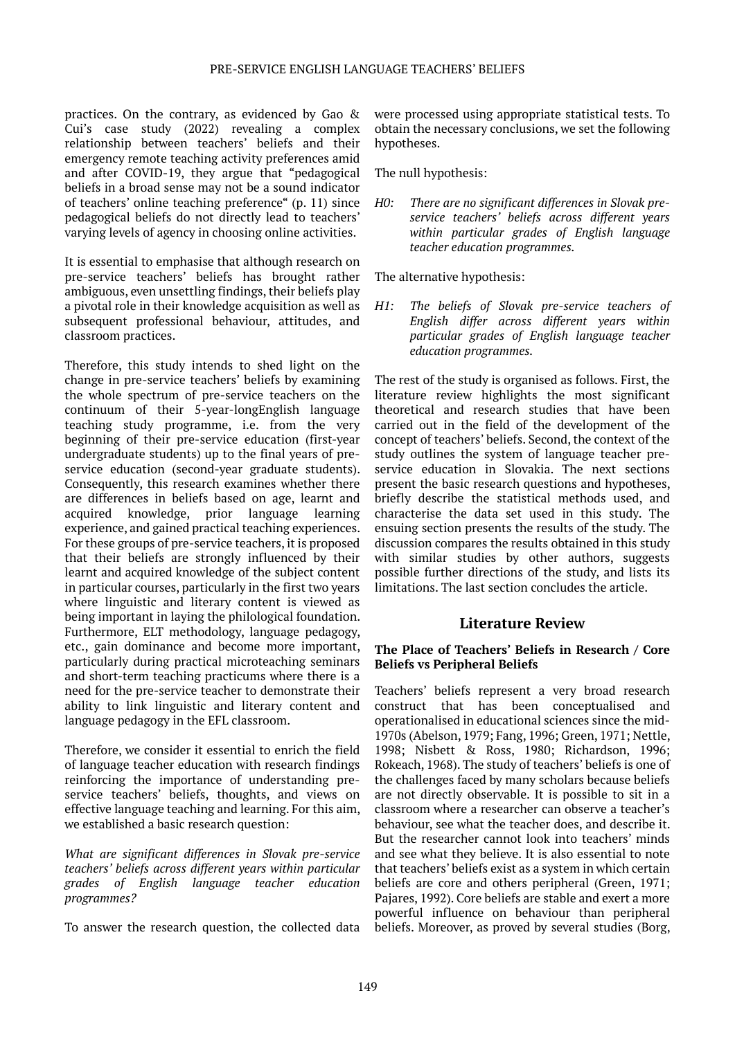practices. On the contrary, as evidenced by Gao & Cui's case study (2022) revealing a complex relationship between teachers' beliefs and their emergency remote teaching activity preferences amid and after COVID-19, they argue that "pedagogical beliefs in a broad sense may not be a sound indicator of teachers' online teaching preference" (p. 11) since pedagogical beliefs do not directly lead to teachers' varying levels of agency in choosing online activities.

It is essential to emphasise that although research on pre-service teachers' beliefs has brought rather ambiguous, even unsettling findings, their beliefs play a pivotal role in their knowledge acquisition as well as subsequent professional behaviour, attitudes, and classroom practices.

Therefore, this study intends to shed light on the change in pre-service teachers' beliefs by examining the whole spectrum of pre-service teachers on the continuum of their 5-year-longEnglish language teaching study programme, i.e. from the very beginning of their pre-service education (first-year undergraduate students) up to the final years of preservice education (second-year graduate students). Consequently, this research examines whether there are differences in beliefs based on age, learnt and acquired knowledge, prior language learning experience, and gained practical teaching experiences. For these groups of pre-service teachers, it is proposed that their beliefs are strongly influenced by their learnt and acquired knowledge of the subject content in particular courses, particularly in the first two years where linguistic and literary content is viewed as being important in laying the philological foundation. Furthermore, ELT methodology, language pedagogy, etc., gain dominance and become more important, particularly during practical microteaching seminars and short-term teaching practicums where there is a need for the pre-service teacher to demonstrate their ability to link linguistic and literary content and language pedagogy in the EFL classroom.

Therefore, we consider it essential to enrich the field of language teacher education with research findings reinforcing the importance of understanding preservice teachers' beliefs, thoughts, and views on effective language teaching and learning. For this aim, we established a basic research question:

*What are significant differences in Slovak pre-service teachers' beliefs across different years within particular grades of English language teacher education programmes?*

To answer the research question, the collected data

were processed using appropriate statistical tests. To obtain the necessary conclusions, we set the following hypotheses.

The null hypothesis:

*H0: There are no significant differences in Slovak preservice teachers' beliefs across different years within particular grades of English language teacher education programmes.*

The alternative hypothesis:

*H1: The beliefs of Slovak pre-service teachers of English differ across different years within particular grades of English language teacher education programmes.*

The rest of the study is organised as follows. First, the literature review highlights the most significant theoretical and research studies that have been carried out in the field of the development of the concept of teachers' beliefs. Second, the context of the study outlines the system of language teacher preservice education in Slovakia. The next sections present the basic research questions and hypotheses, briefly describe the statistical methods used, and characterise the data set used in this study. The ensuing section presents the results of the study. The discussion compares the results obtained in this study with similar studies by other authors, suggests possible further directions of the study, and lists its limitations. The last section concludes the article.

# **Literature Review**

#### **The Place of Teachers' Beliefs in Research / Core Beliefs vs Peripheral Beliefs**

Teachers' beliefs represent a very broad research construct that has been conceptualised and operationalised in educational sciences since the mid-1970s (Abelson, 1979; Fang, 1996; Green, 1971; Nettle, 1998; Nisbett & Ross, 1980; Richardson, 1996; Rokeach, 1968). The study of teachers' beliefs is one of the challenges faced by many scholars because beliefs are not directly observable. It is possible to sit in a classroom where a researcher can observe a teacher's behaviour, see what the teacher does, and describe it. But the researcher cannot look into teachers' minds and see what they believe. It is also essential to note that teachers' beliefs exist as a system in which certain beliefs are core and others peripheral (Green, 1971; Pajares, 1992). Core beliefs are stable and exert a more powerful influence on behaviour than peripheral beliefs. Moreover, as proved by several studies (Borg,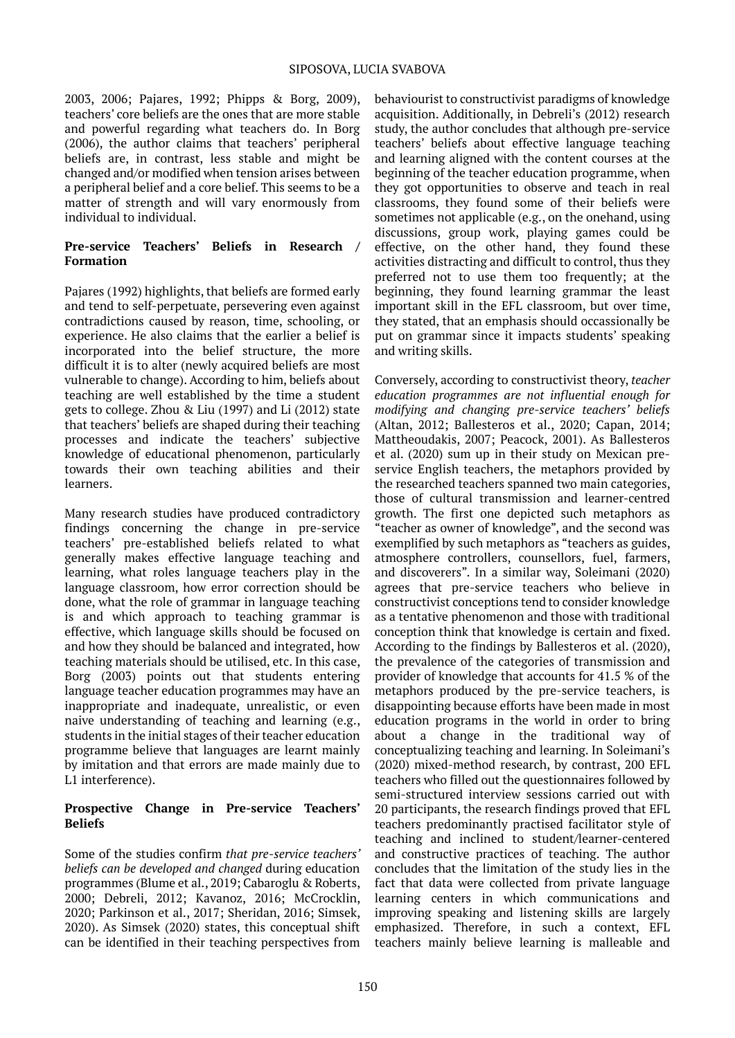2003, 2006; Pajares, 1992; Phipps & Borg, 2009), teachers' core beliefs are the ones that are more stable and powerful regarding what teachers do. In Borg (2006), the author claims that teachers' peripheral beliefs are, in contrast, less stable and might be changed and/or modified when tension arises between a peripheral belief and a core belief. This seems to be a matter of strength and will vary enormously from individual to individual.

#### **Pre-service Teachers' Beliefs in Research / Formation**

Pajares (1992) highlights, that beliefs are formed early and tend to self-perpetuate, persevering even against contradictions caused by reason, time, schooling, or experience. He also claims that the earlier a belief is incorporated into the belief structure, the more difficult it is to alter (newly acquired beliefs are most vulnerable to change). According to him, beliefs about teaching are well established by the time a student gets to college. Zhou & Liu (1997) and Li (2012) state that teachers' beliefs are shaped during their teaching processes and indicate the teachers' subjective knowledge of educational phenomenon, particularly towards their own teaching abilities and their learners.

Many research studies have produced contradictory findings concerning the change in pre-service teachers' pre-established beliefs related to what generally makes effective language teaching and learning, what roles language teachers play in the language classroom, how error correction should be done, what the role of grammar in language teaching is and which approach to teaching grammar is effective, which language skills should be focused on and how they should be balanced and integrated, how teaching materials should be utilised, etc. In this case, Borg (2003) points out that students entering language teacher education programmes may have an inappropriate and inadequate, unrealistic, or even naive understanding of teaching and learning (e.g., students in the initial stages of their teacher education programme believe that languages are learnt mainly by imitation and that errors are made mainly due to L1 interference).

#### **Prospective Change in Pre-service Teachers' Beliefs**

Some of the studies confirm *that pre-service teachers' beliefs can be developed and changed* during education programmes (Blume et al., 2019; Cabaroglu & Roberts, 2000; Debreli, 2012; Kavanoz, 2016; McCrocklin, 2020; Parkinson et al., 2017; Sheridan, 2016; Simsek, 2020). As Simsek (2020) states, this conceptual shift can be identified in their teaching perspectives from

behaviourist to constructivist paradigms of knowledge acquisition. Additionally, in Debreli's (2012) research study, the author concludes that although pre-service teachers' beliefs about effective language teaching and learning aligned with the content courses at the beginning of the teacher education programme, when they got opportunities to observe and teach in real classrooms, they found some of their beliefs were sometimes not applicable (e.g., on the onehand, using discussions, group work, playing games could be effective, on the other hand, they found these activities distracting and difficult to control, thus they preferred not to use them too frequently; at the beginning, they found learning grammar the least important skill in the EFL classroom, but over time, they stated, that an emphasis should occassionally be put on grammar since it impacts students' speaking and writing skills.

Conversely, according to constructivist theory, *teacher education programmes are not influential enough for modifying and changing pre-service teachers' beliefs* (Altan, 2012; Ballesteros et al., 2020; Capan, 2014; Mattheoudakis, 2007; Peacock, 2001). As Ballesteros et al. (2020) sum up in their study on Mexican preservice English teachers, the metaphors provided by the researched teachers spanned two main categories, those of cultural transmission and learner-centred growth. The first one depicted such metaphors as "teacher as owner of knowledge", and the second was exemplified by such metaphors as "teachers as guides, atmosphere controllers, counsellors, fuel, farmers, and discoverers". In a similar way, Soleimani (2020) agrees that pre-service teachers who believe in constructivist conceptions tend to consider knowledge as a tentative phenomenon and those with traditional conception think that knowledge is certain and fixed. According to the findings by Ballesteros et al. (2020), the prevalence of the categories of transmission and provider of knowledge that accounts for 41.5 % of the metaphors produced by the pre-service teachers, is disappointing because efforts have been made in most education programs in the world in order to bring about a change in the traditional way of conceptualizing teaching and learning. In Soleimani's (2020) mixed-method research, by contrast, 200 EFL teachers who filled out the questionnaires followed by semi-structured interview sessions carried out with 20 participants, the research findings proved that EFL teachers predominantly practised facilitator style of teaching and inclined to student/learner-centered and constructive practices of teaching. The author concludes that the limitation of the study lies in the fact that data were collected from private language learning centers in which communications and improving speaking and listening skills are largely emphasized. Therefore, in such a context, EFL teachers mainly believe learning is malleable and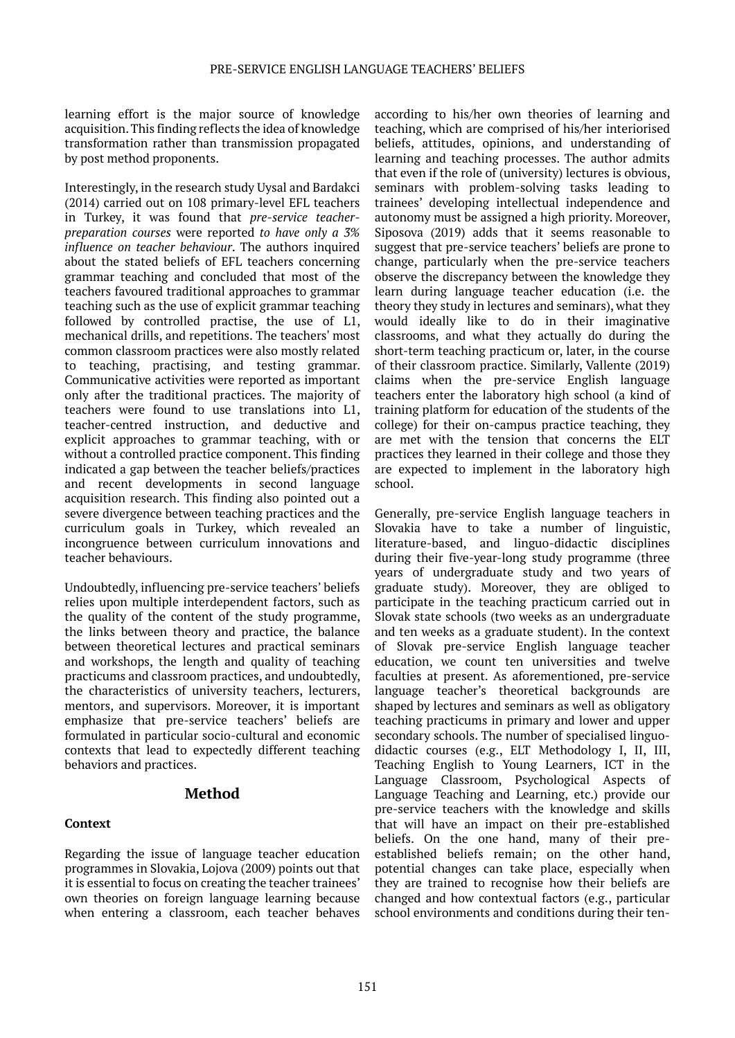learning effort is the major source of knowledge acquisition. This finding reflects the idea of knowledge transformation rather than transmission propagated by post method proponents.

Interestingly, in the research study Uysal and Bardakci (2014) carried out on 108 primary-level EFL teachers in Turkey, it was found that *pre-service teacherpreparation courses* were reported *to have only a 3% influence on teacher behaviour*. The authors inquired about the stated beliefs of EFL teachers concerning grammar teaching and concluded that most of the teachers favoured traditional approaches to grammar teaching such as the use of explicit grammar teaching followed by controlled practise, the use of L1, mechanical drills, and repetitions. The teachers' most common classroom practices were also mostly related to teaching, practising, and testing grammar. Communicative activities were reported as important only after the traditional practices. The majority of teachers were found to use translations into L1, teacher-centred instruction, and deductive and explicit approaches to grammar teaching, with or without a controlled practice component. This finding indicated a gap between the teacher beliefs/practices and recent developments in second language acquisition research. This finding also pointed out a severe divergence between teaching practices and the curriculum goals in Turkey, which revealed an incongruence between curriculum innovations and teacher behaviours.

Undoubtedly, influencing pre-service teachers' beliefs relies upon multiple interdependent factors, such as the quality of the content of the study programme, the links between theory and practice, the balance between theoretical lectures and practical seminars and workshops, the length and quality of teaching practicums and classroom practices, and undoubtedly, the characteristics of university teachers, lecturers, mentors, and supervisors. Moreover, it is important emphasize that pre-service teachers' beliefs are formulated in particular socio-cultural and economic contexts that lead to expectedly different teaching behaviors and practices.

#### **Method**

#### **Context**

Regarding the issue of language teacher education programmes in Slovakia, Lojova (2009) points out that it is essential to focus on creating the teacher trainees' own theories on foreign language learning because when entering a classroom, each teacher behaves

according to his/her own theories of learning and teaching, which are comprised of his/her interiorised beliefs, attitudes, opinions, and understanding of learning and teaching processes. The author admits that even if the role of (university) lectures is obvious, seminars with problem-solving tasks leading to trainees' developing intellectual independence and autonomy must be assigned a high priority. Moreover, Siposova (2019) adds that it seems reasonable to suggest that pre-service teachers' beliefs are prone to change, particularly when the pre-service teachers observe the discrepancy between the knowledge they learn during language teacher education (i.e. the theory they study in lectures and seminars), what they would ideally like to do in their imaginative classrooms, and what they actually do during the short-term teaching practicum or, later, in the course of their classroom practice. Similarly, Vallente (2019) claims when the pre-service English language teachers enter the laboratory high school (a kind of training platform for education of the students of the college) for their on-campus practice teaching, they are met with the tension that concerns the ELT practices they learned in their college and those they are expected to implement in the laboratory high school.

Generally, pre-service English language teachers in Slovakia have to take a number of linguistic, literature-based, and linguo-didactic disciplines during their five-year-long study programme (three years of undergraduate study and two years of graduate study). Moreover, they are obliged to participate in the teaching practicum carried out in Slovak state schools (two weeks as an undergraduate and ten weeks as a graduate student). In the context of Slovak pre-service English language teacher education, we count ten universities and twelve faculties at present. As aforementioned, pre-service language teacher's theoretical backgrounds are shaped by lectures and seminars as well as obligatory teaching practicums in primary and lower and upper secondary schools. The number of specialised linguodidactic courses (e.g., ELT Methodology I, II, III, Teaching English to Young Learners, ICT in the Language Classroom, Psychological Aspects of Language Teaching and Learning, etc.) provide our pre-service teachers with the knowledge and skills that will have an impact on their pre-established beliefs. On the one hand, many of their preestablished beliefs remain; on the other hand, potential changes can take place, especially when they are trained to recognise how their beliefs are changed and how contextual factors (e.g., particular school environments and conditions during their ten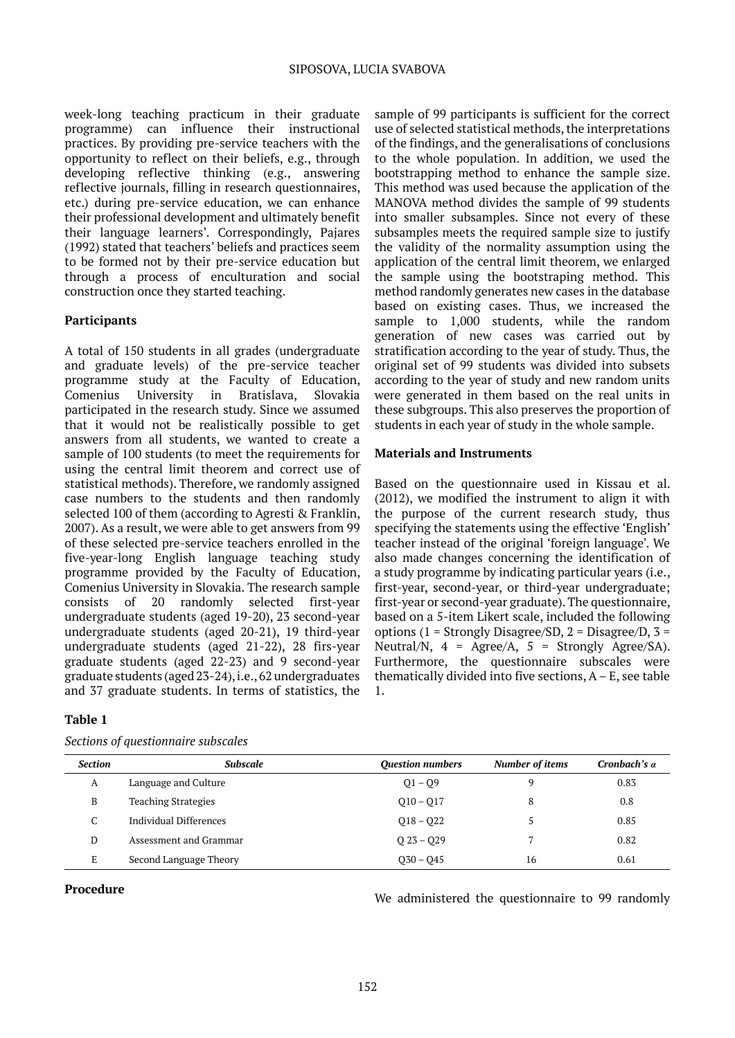week-long teaching practicum in their graduate programme) can influence their instructional practices. By providing pre-service teachers with the opportunity to reflect on their beliefs, e.g., through developing reflective thinking (e.g., answering reflective journals, filling in research questionnaires, etc.) during pre-service education, we can enhance their professional development and ultimately benefit their language learners'. Correspondingly, Pajares (1992) stated that teachers' beliefs and practices seem to be formed not by their pre-service education but through a process of enculturation and social construction once they started teaching.

### **Participants**

A total of 150 students in all grades (undergraduate and graduate levels) of the pre-service teacher programme study at the Faculty of Education, Comenius University in Bratislava, Slovakia participated in the research study. Since we assumed that it would not be realistically possible to get answers from all students, we wanted to create a sample of 100 students (to meet the requirements for using the central limit theorem and correct use of statistical methods). Therefore, we randomly assigned case numbers to the students and then randomly selected 100 of them (according to Agresti & Franklin, 2007). As a result, we were able to get answers from 99 of these selected pre-service teachers enrolled in the five-year-long English language teaching study programme provided by the Faculty of Education, Comenius University in Slovakia. The research sample consists of 20 randomly selected first-year undergraduate students (aged 19-20), 23 second-year undergraduate students (aged 20-21), 19 third-year undergraduate students (aged 21-22), 28 firs-year graduate students (aged 22-23) and 9 second-year graduate students (aged 23-24), i.e., 62 undergraduates and 37 graduate students. In terms of statistics, the

# **Table 1**

| <b>Section</b> | <b>Subscale</b>            | <b>Ouestion numbers</b> | <b>Number of items</b> | Cronbach's $\alpha$ |
|----------------|----------------------------|-------------------------|------------------------|---------------------|
| A              | Language and Culture       | $Q1 - Q9$               | 9                      | 0.83                |
| B              | <b>Teaching Strategies</b> | $010 - 017$             | 8                      | 0.8                 |
| C<br>U         | Individual Differences     | $018 - 022$             |                        | 0.85                |
| D              | Assessment and Grammar     | $023 - 029$             |                        | 0.82                |
| E              | Second Language Theory     | $030 - 045$             | 16                     | 0.61                |

*Sections of questionnaire subscales*

**Procedure Procedure Procedure Procedure We administered the questionnaire to 99 randomly** 

sample of 99 participants is sufficient for the correct use of selected statistical methods, the interpretations of the findings, and the generalisations of conclusions to the whole population. In addition, we used the bootstrapping method to enhance the sample size. This method was used because the application of the MANOVA method divides the sample of 99 students into smaller subsamples. Since not every of these subsamples meets the required sample size to justify the validity of the normality assumption using the application of the central limit theorem, we enlarged the sample using the bootstraping method. This method randomly generates new cases in the database based on existing cases. Thus, we increased the sample to 1,000 students, while the random generation of new cases was carried out by stratification according to the year of study. Thus, the original set of 99 students was divided into subsets according to the year of study and new random units were generated in them based on the real units in these subgroups. This also preserves the proportion of students in each year of study in the whole sample.

#### **Materials and Instruments**

Based on the questionnaire used in Kissau et al. (2012), we modified the instrument to align it with the purpose of the current research study, thus specifying the statements using the effective 'English' teacher instead of the original 'foreign language'. We also made changes concerning the identification of a study programme by indicating particular years (i.e., first-year, second-year, or third-year undergraduate; first-year or second-year graduate). The questionnaire, based on a 5-item Likert scale, included the following options (1 = Strongly Disagree/SD, 2 = Disagree/D,  $3 =$ Neutral/N,  $4 = \text{Agree/A}$ ,  $5 = \text{Strongly Age}(SA)$ . Furthermore, the questionnaire subscales were thematically divided into five sections, A – E, see table 1.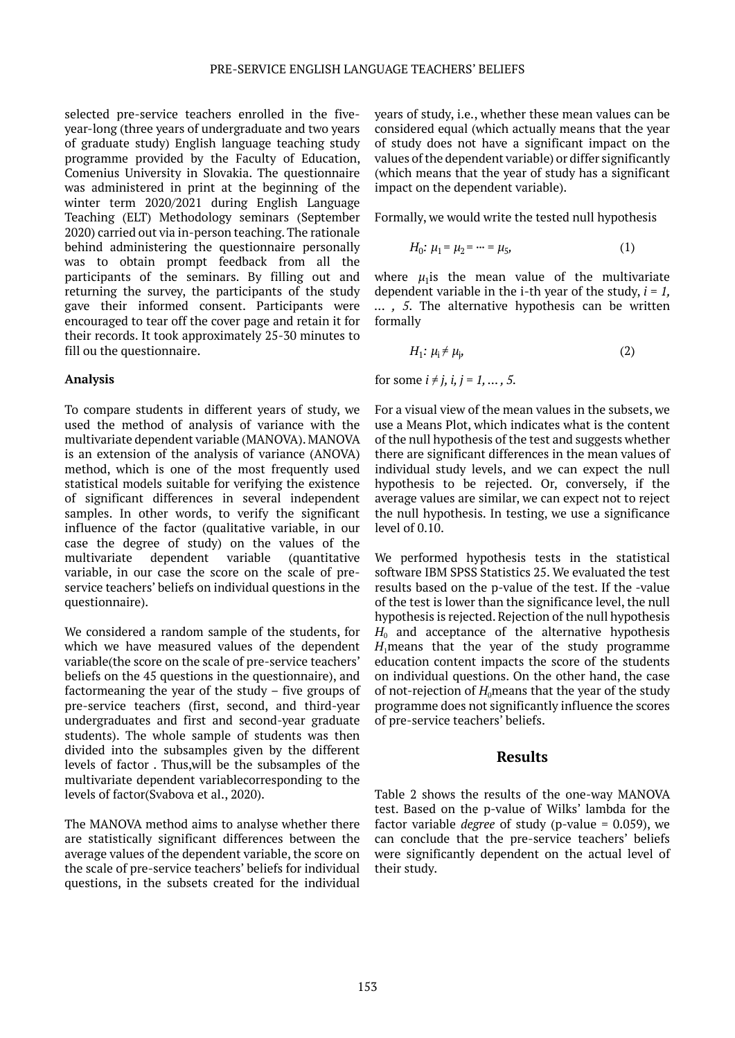selected pre-service teachers enrolled in the fiveyear-long (three years of undergraduate and two years of graduate study) English language teaching study programme provided by the Faculty of Education, Comenius University in Slovakia. The questionnaire was administered in print at the beginning of the winter term 2020/2021 during English Language Teaching (ELT) Methodology seminars (September 2020) carried out via in-person teaching. The rationale behind administering the questionnaire personally was to obtain prompt feedback from all the participants of the seminars. By filling out and returning the survey, the participants of the study gave their informed consent. Participants were encouraged to tear off the cover page and retain it for their records. It took approximately 25-30 minutes to fill ou the questionnaire.

#### **Analysis**

To compare students in different years of study, we used the method of analysis of variance with the multivariate dependent variable (MANOVA). MANOVA is an extension of the analysis of variance (ANOVA) method, which is one of the most frequently used statistical models suitable for verifying the existence of significant differences in several independent samples. In other words, to verify the significant influence of the factor (qualitative variable, in our case the degree of study) on the values of the multivariate dependent variable (quantitative variable, in our case the score on the scale of preservice teachers' beliefs on individual questions in the questionnaire).

We considered a random sample of the students, for which we have measured values of the dependent variable(the score on the scale of pre-service teachers' beliefs on the 45 questions in the questionnaire), and factormeaning the year of the study – five groups of pre-service teachers (first, second, and third-year undergraduates and first and second-year graduate students). The whole sample of students was then divided into the subsamples given by the different levels of factor . Thus,will be the subsamples of the multivariate dependent variablecorresponding to the levels of factor(Svabova et al., 2020).

The MANOVA method aims to analyse whether there are statistically significant differences between the average values of the dependent variable, the score on the scale of pre-service teachers' beliefs for individual questions, in the subsets created for the individual

years of study, i.e., whether these mean values can be considered equal (which actually means that the year of study does not have a significant impact on the values of the dependent variable) or differ significantly (which means that the year of study has a significant impact on the dependent variable).

Formally, we would write the tested null hypothesis

$$
H_0: \mu_1 = \mu_2 = \dots = \mu_5,\tag{1}
$$

where  $\mu_1$ is the mean value of the multivariate dependent variable in the i-th year of the study, *i = 1, ... , 5*. The alternative hypothesis can be written formally

$$
H_1: \mu_i \neq \mu_i, \tag{2}
$$

for some  $i \neq j$ ,  $i, j = 1, ..., 5$ .

For a visual view of the mean values in the subsets, we use a Means Plot, which indicates what is the content of the null hypothesis of the test and suggests whether there are significant differences in the mean values of individual study levels, and we can expect the null hypothesis to be rejected. Or, conversely, if the average values are similar, we can expect not to reject the null hypothesis. In testing, we use a significance level of 0.10.

We performed hypothesis tests in the statistical software IBM SPSS Statistics 25. We evaluated the test results based on the p-value of the test. If the -value of the test is lower than the significance level, the null hypothesis is rejected. Rejection of the null hypothesis  $H_0$  and acceptance of the alternative hypothesis  $H_1$ means that the year of the study programme education content impacts the score of the students on individual questions. On the other hand, the case of not-rejection of  $H_0$  means that the year of the study programme does not significantly influence the scores of pre-service teachers' beliefs.

#### **Results**

Table 2 shows the results of the one-way MANOVA test. Based on the p-value of Wilks' lambda for the factor variable *degree* of study (p-value = 0.059), we can conclude that the pre-service teachers' beliefs were significantly dependent on the actual level of their study.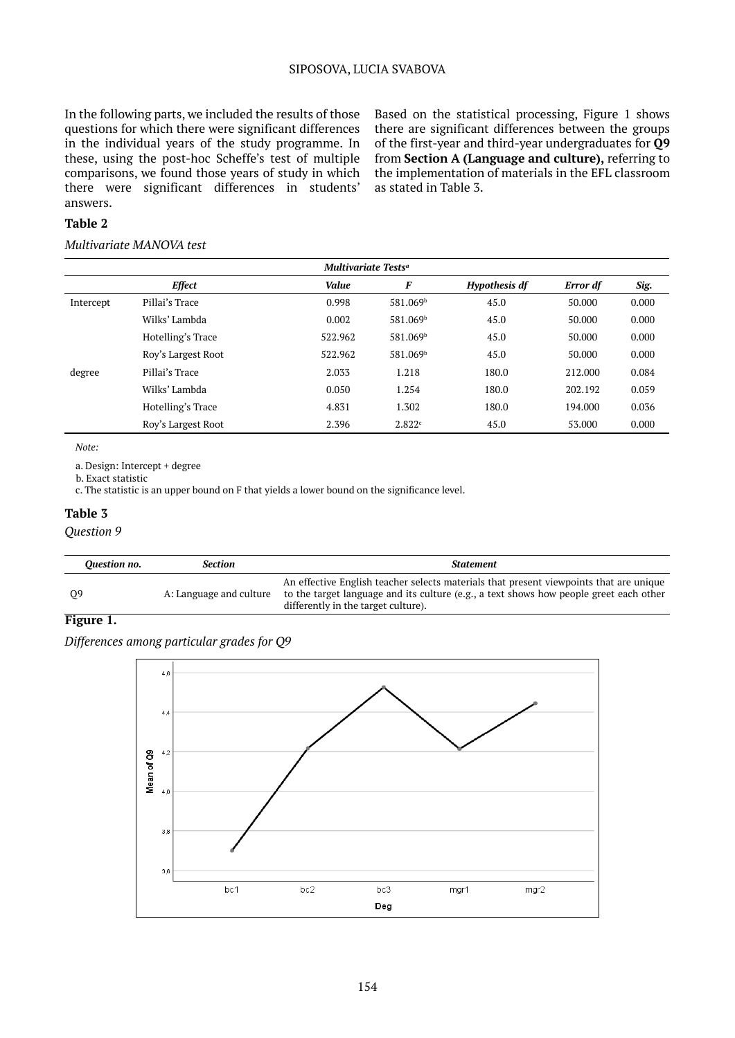#### SIPOSOVA, LUCIA SVABOVA

In the following parts, we included the results of those questions for which there were significant differences in the individual years of the study programme. In these, using the post-hoc Scheffe's test of multiple comparisons, we found those years of study in which there were significant differences in students' answers.

Based on the statistical processing, Figure 1 shows there are significant differences between the groups of the first-year and third-year undergraduates for **Q9** from **Section A (Language and culture),** referring to the implementation of materials in the EFL classroom as stated in Table 3.

#### **Table 2**

#### *Multivariate MANOVA test*

|           | Multivariate Tests <sup>a</sup> |         |                      |                      |          |       |  |  |  |
|-----------|---------------------------------|---------|----------------------|----------------------|----------|-------|--|--|--|
|           | <b>Effect</b>                   | Value   | F                    | <b>Hypothesis df</b> | Error df | Sig.  |  |  |  |
| Intercept | Pillai's Trace                  | 0.998   | 581.069b             | 45.0                 | 50.000   | 0.000 |  |  |  |
|           | Wilks' Lambda                   | 0.002   | 581.069b             | 45.0                 | 50.000   | 0.000 |  |  |  |
|           | Hotelling's Trace               | 522.962 | 581.069b             | 45.0                 | 50.000   | 0.000 |  |  |  |
|           | Roy's Largest Root              | 522.962 | 581.069 <sup>b</sup> | 45.0                 | 50.000   | 0.000 |  |  |  |
| degree    | Pillai's Trace                  | 2.033   | 1.218                | 180.0                | 212.000  | 0.084 |  |  |  |
|           | Wilks' Lambda                   | 0.050   | 1.254                | 180.0                | 202.192  | 0.059 |  |  |  |
|           | Hotelling's Trace               | 4.831   | 1.302                | 180.0                | 194.000  | 0.036 |  |  |  |
|           | Roy's Largest Root              | 2.396   | 2.822c               | 45.0                 | 53,000   | 0.000 |  |  |  |
|           |                                 |         |                      |                      |          |       |  |  |  |

*Note:* 

a. Design: Intercept + degree

b. Exact statistic

c. The statistic is an upper bound on F that yields a lower bound on the significance level.

#### **Table 3**

#### *Question 9*

| Ouestion no. | <b>Section</b>          | <b>Statement</b>                                                                                                                                                                                                        |
|--------------|-------------------------|-------------------------------------------------------------------------------------------------------------------------------------------------------------------------------------------------------------------------|
| 09           | A: Language and culture | An effective English teacher selects materials that present viewpoints that are unique<br>to the target language and its culture (e.g., a text shows how people greet each other<br>differently in the target culture). |

#### **Figure 1.**

*Differences among particular grades for Q9*

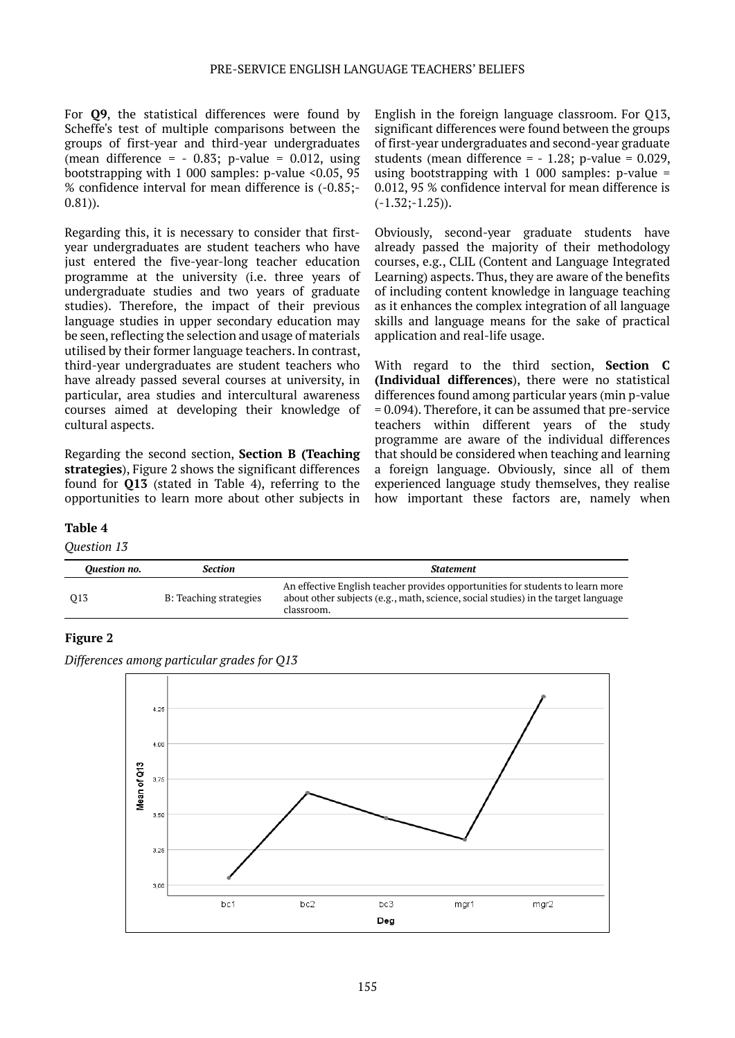For **Q9**, the statistical differences were found by Scheffe's test of multiple comparisons between the groups of first-year and third-year undergraduates (mean difference =  $-0.83$ ; p-value = 0.012, using bootstrapping with 1 000 samples: p-value <0.05, 95 % confidence interval for mean difference is (-0.85;- 0.81)).

Regarding this, it is necessary to consider that firstyear undergraduates are student teachers who have just entered the five-year-long teacher education programme at the university (i.e. three years of undergraduate studies and two years of graduate studies). Therefore, the impact of their previous language studies in upper secondary education may be seen, reflecting the selection and usage of materials utilised by their former language teachers. In contrast, third-year undergraduates are student teachers who have already passed several courses at university, in particular, area studies and intercultural awareness courses aimed at developing their knowledge of cultural aspects.

Regarding the second section, **Section B (Teaching strategies**), Figure 2 shows the significant differences found for **Q13** (stated in Table 4), referring to the opportunities to learn more about other subjects in English in the foreign language classroom. For Q13, significant differences were found between the groups of first-year undergraduates and second-year graduate students (mean difference =  $-1.28$ ; p-value = 0.029, using bootstrapping with  $1\,000$  samples: p-value = 0.012, 95 % confidence interval for mean difference is  $(-1.32; -1.25)$ ).

Obviously, second-year graduate students have already passed the majority of their methodology courses, e.g., CLIL (Content and Language Integrated Learning) aspects. Thus, they are aware of the benefits of including content knowledge in language teaching as it enhances the complex integration of all language skills and language means for the sake of practical application and real-life usage.

With regard to the third section, **Section C (Individual differences**), there were no statistical differences found among particular years (min p-value = 0.094). Therefore, it can be assumed that pre-service teachers within different years of the study programme are aware of the individual differences that should be considered when teaching and learning a foreign language. Obviously, since all of them experienced language study themselves, they realise how important these factors are, namely when

#### **Table 4**

*Question 13*

| Ouestion no. | Section                | <b>Statement</b>                                                                                                                                                                  |
|--------------|------------------------|-----------------------------------------------------------------------------------------------------------------------------------------------------------------------------------|
| 013          | B: Teaching strategies | An effective English teacher provides opportunities for students to learn more<br>about other subjects (e.g., math, science, social studies) in the target language<br>classroom. |

#### **Figure 2**

*Differences among particular grades for Q13*

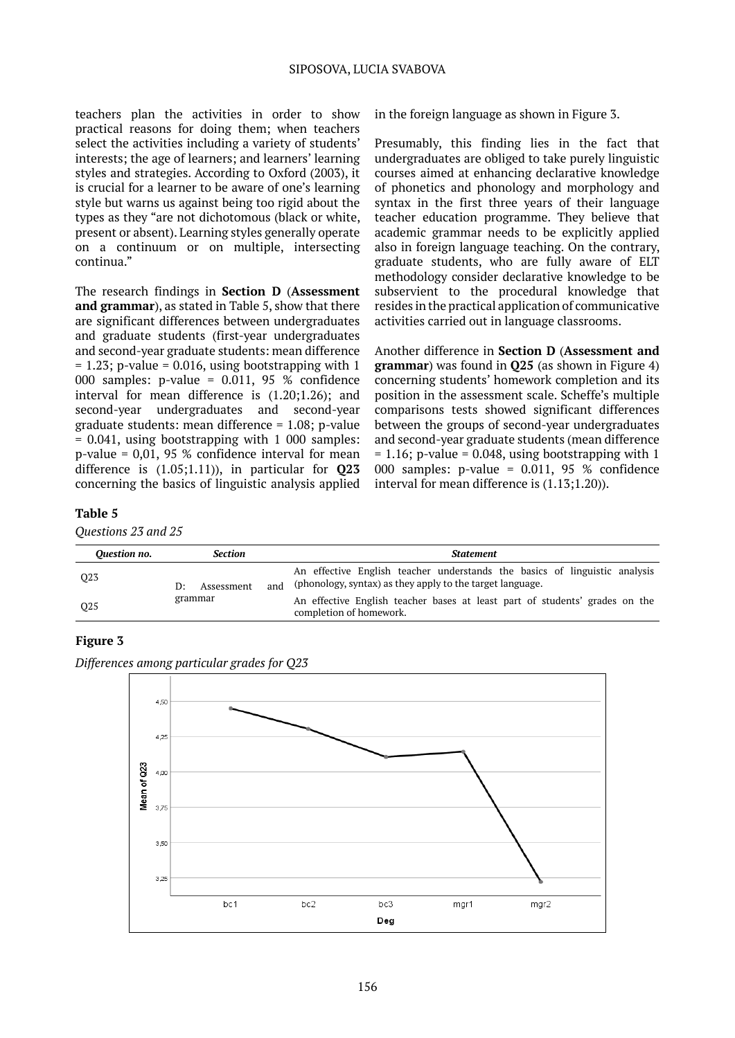teachers plan the activities in order to show practical reasons for doing them; when teachers select the activities including a variety of students' interests; the age of learners; and learners' learning styles and strategies. According to Oxford (2003), it is crucial for a learner to be aware of one's learning style but warns us against being too rigid about the types as they "are not dichotomous (black or white, present or absent). Learning styles generally operate on a continuum or on multiple, intersecting continua."

The research findings in **Section D** (**Assessment and grammar**), as stated in Table 5, show that there are significant differences between undergraduates and graduate students (first-year undergraduates and second-year graduate students: mean difference  $= 1.23$ ; p-value  $= 0.016$ , using bootstrapping with 1 000 samples: p-value = 0.011, 95 % confidence interval for mean difference is (1.20;1.26); and second-year undergraduates and second-year graduate students: mean difference = 1.08; p-value = 0.041, using bootstrapping with 1 000 samples: p-value = 0,01, 95 % confidence interval for mean difference is (1.05;1.11)), in particular for **Q23** concerning the basics of linguistic analysis applied in the foreign language as shown in Figure 3.

Presumably, this finding lies in the fact that undergraduates are obliged to take purely linguistic courses aimed at enhancing declarative knowledge of phonetics and phonology and morphology and syntax in the first three years of their language teacher education programme. They believe that academic grammar needs to be explicitly applied also in foreign language teaching. On the contrary, graduate students, who are fully aware of ELT methodology consider declarative knowledge to be subservient to the procedural knowledge that resides in the practical application of communicative activities carried out in language classrooms.

Another difference in **Section D** (**Assessment and grammar**) was found in **Q25** (as shown in Figure 4) concerning students' homework completion and its position in the assessment scale. Scheffe's multiple comparisons tests showed significant differences between the groups of second-year undergraduates and second-year graduate students (mean difference  $= 1.16$ ; p-value  $= 0.048$ , using bootstrapping with 1 000 samples: p-value = 0.011, 95 % confidence interval for mean difference is (1.13;1.20)).

#### **Table 5**

*Questions 23 and 25*

| Ouestion no.    | <b>Section</b>   | <b>Statement</b>                                                                                                                               |
|-----------------|------------------|------------------------------------------------------------------------------------------------------------------------------------------------|
| Q <sub>23</sub> | Assessment<br>D÷ | An effective English teacher understands the basics of linguistic analysis<br>(phonology, syntax) as they apply to the target language.<br>and |
| O <sub>25</sub> | grammar          | An effective English teacher bases at least part of students' grades on the<br>completion of homework.                                         |

# **Figure 3**



*Differences among particular grades for Q23*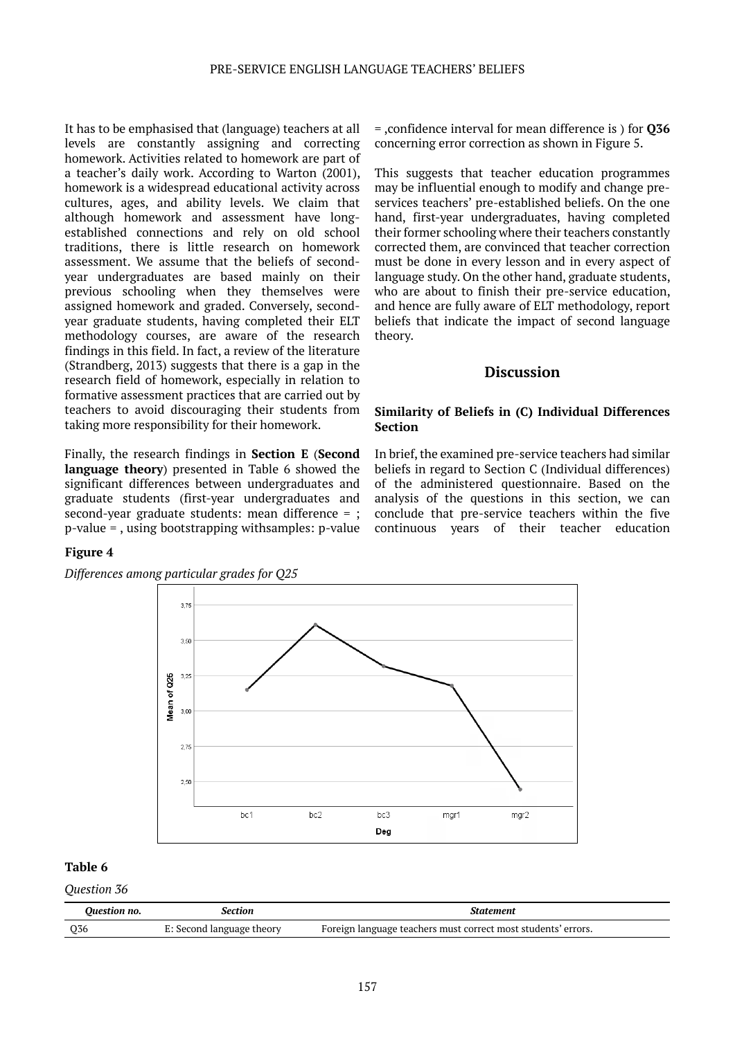It has to be emphasised that (language) teachers at all levels are constantly assigning and correcting homework. Activities related to homework are part of a teacher's daily work. According to Warton (2001), homework is a widespread educational activity across cultures, ages, and ability levels. We claim that although homework and assessment have longestablished connections and rely on old school traditions, there is little research on homework assessment. We assume that the beliefs of secondyear undergraduates are based mainly on their previous schooling when they themselves were assigned homework and graded. Conversely, secondyear graduate students, having completed their ELT methodology courses, are aware of the research findings in this field. In fact, a review of the literature (Strandberg, 2013) suggests that there is a gap in the research field of homework, especially in relation to formative assessment practices that are carried out by teachers to avoid discouraging their students from taking more responsibility for their homework.

Finally, the research findings in **Section E** (**Second language theory**) presented in Table 6 showed the significant differences between undergraduates and graduate students (first-year undergraduates and second-year graduate students: mean difference = ; p-value = , using bootstrapping withsamples: p-value = ,confidence interval for mean difference is ) for **Q36** concerning error correction as shown in Figure 5.

This suggests that teacher education programmes may be influential enough to modify and change preservices teachers' pre-established beliefs. On the one hand, first-year undergraduates, having completed their former schooling where their teachers constantly corrected them, are convinced that teacher correction must be done in every lesson and in every aspect of language study. On the other hand, graduate students, who are about to finish their pre-service education, and hence are fully aware of ELT methodology, report beliefs that indicate the impact of second language theory.

#### **Discussion**

#### **Similarity of Beliefs in (C) Individual Differences Section**

In brief, the examined pre-service teachers had similar beliefs in regard to Section C (Individual differences) of the administered questionnaire. Based on the analysis of the questions in this section, we can conclude that pre-service teachers within the five continuous years of their teacher education

#### **Figure 4**

*Differences among particular grades for Q25*



#### **Table 6**

*Question 36*

| Ouestion no.    | section                   | .statement                                                    |
|-----------------|---------------------------|---------------------------------------------------------------|
| O <sub>36</sub> | E: Second language theory | Foreign language teachers must correct most students' errors. |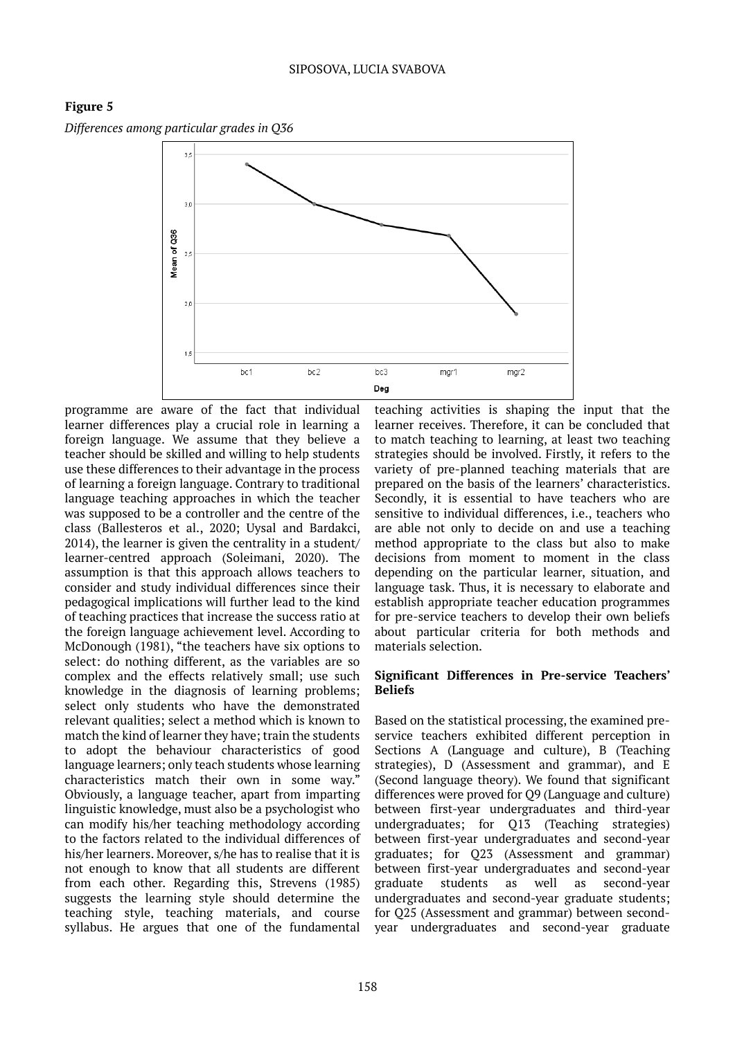

*Differences among particular grades in Q36*



programme are aware of the fact that individual learner differences play a crucial role in learning a foreign language. We assume that they believe a teacher should be skilled and willing to help students use these differences to their advantage in the process of learning a foreign language. Contrary to traditional language teaching approaches in which the teacher was supposed to be a controller and the centre of the class (Ballesteros et al., 2020; Uysal and Bardakci, 2014), the learner is given the centrality in a student/ learner-centred approach (Soleimani, 2020). The assumption is that this approach allows teachers to consider and study individual differences since their pedagogical implications will further lead to the kind of teaching practices that increase the success ratio at the foreign language achievement level. According to McDonough (1981), "the teachers have six options to select: do nothing different, as the variables are so complex and the effects relatively small; use such knowledge in the diagnosis of learning problems; select only students who have the demonstrated relevant qualities; select a method which is known to match the kind of learner they have; train the students to adopt the behaviour characteristics of good language learners; only teach students whose learning characteristics match their own in some way." Obviously, a language teacher, apart from imparting linguistic knowledge, must also be a psychologist who can modify his/her teaching methodology according to the factors related to the individual differences of his/her learners. Moreover, s/he has to realise that it is not enough to know that all students are different from each other. Regarding this, Strevens (1985) suggests the learning style should determine the teaching style, teaching materials, and course syllabus. He argues that one of the fundamental teaching activities is shaping the input that the learner receives. Therefore, it can be concluded that to match teaching to learning, at least two teaching strategies should be involved. Firstly, it refers to the variety of pre-planned teaching materials that are prepared on the basis of the learners' characteristics. Secondly, it is essential to have teachers who are sensitive to individual differences, i.e., teachers who are able not only to decide on and use a teaching method appropriate to the class but also to make decisions from moment to moment in the class depending on the particular learner, situation, and language task. Thus, it is necessary to elaborate and establish appropriate teacher education programmes for pre-service teachers to develop their own beliefs about particular criteria for both methods and materials selection.

#### **Significant Differences in Pre-service Teachers' Beliefs**

Based on the statistical processing, the examined preservice teachers exhibited different perception in Sections A (Language and culture), B (Teaching strategies), D (Assessment and grammar), and E (Second language theory). We found that significant differences were proved for Q9 (Language and culture) between first-year undergraduates and third-year undergraduates; for Q13 (Teaching strategies) between first-year undergraduates and second-year graduates; for Q23 (Assessment and grammar) between first-year undergraduates and second-year<br>graduate students as well as second-vear graduate students as well as second-year undergraduates and second-year graduate students; for Q25 (Assessment and grammar) between secondyear undergraduates and second-year graduate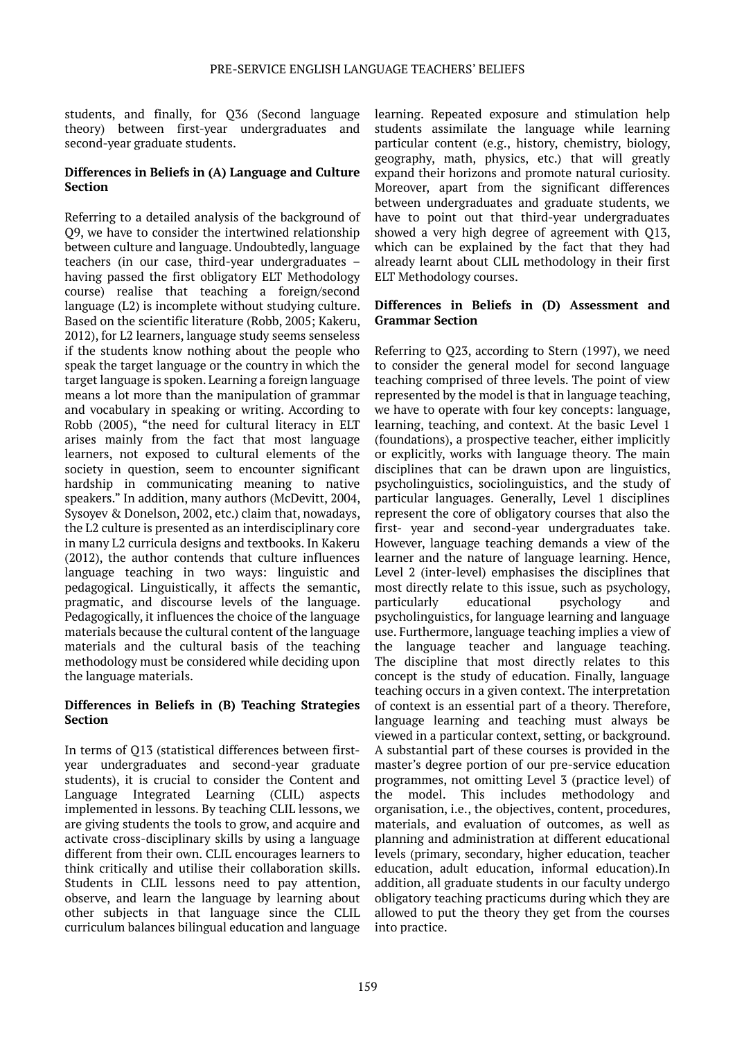students, and finally, for Q36 (Second language theory) between first-year undergraduates and second-year graduate students.

#### **Differences in Beliefs in (A) Language and Culture Section**

Referring to a detailed analysis of the background of Q9, we have to consider the intertwined relationship between culture and language. Undoubtedly, language teachers (in our case, third-year undergraduates – having passed the first obligatory ELT Methodology course) realise that teaching a foreign/second language (L2) is incomplete without studying culture. Based on the scientific literature (Robb, 2005; Kakeru, 2012), for L2 learners, language study seems senseless if the students know nothing about the people who speak the target language or the country in which the target language is spoken. Learning a foreign language means a lot more than the manipulation of grammar and vocabulary in speaking or writing. According to Robb (2005), "the need for cultural literacy in ELT arises mainly from the fact that most language learners, not exposed to cultural elements of the society in question, seem to encounter significant hardship in communicating meaning to native speakers." In addition, many authors (McDevitt, 2004, Sysoyev & Donelson, 2002, etc.) claim that, nowadays, the L2 culture is presented as an interdisciplinary core in many L2 curricula designs and textbooks. In Kakeru (2012), the author contends that culture influences language teaching in two ways: linguistic and pedagogical. Linguistically, it affects the semantic, pragmatic, and discourse levels of the language. Pedagogically, it influences the choice of the language materials because the cultural content of the language materials and the cultural basis of the teaching methodology must be considered while deciding upon the language materials.

#### **Differences in Beliefs in (B) Teaching Strategies Section**

In terms of Q13 (statistical differences between firstyear undergraduates and second-year graduate students), it is crucial to consider the Content and Language Integrated Learning (CLIL) aspects implemented in lessons. By teaching CLIL lessons, we are giving students the tools to grow, and acquire and activate cross-disciplinary skills by using a language different from their own. CLIL encourages learners to think critically and utilise their collaboration skills. Students in CLIL lessons need to pay attention, observe, and learn the language by learning about other subjects in that language since the CLIL curriculum balances bilingual education and language

learning. Repeated exposure and stimulation help students assimilate the language while learning particular content (e.g., history, chemistry, biology, geography, math, physics, etc.) that will greatly expand their horizons and promote natural curiosity. Moreover, apart from the significant differences between undergraduates and graduate students, we have to point out that third-year undergraduates showed a very high degree of agreement with Q13, which can be explained by the fact that they had already learnt about CLIL methodology in their first ELT Methodology courses.

#### **Differences in Beliefs in (D) Assessment and Grammar Section**

Referring to Q23, according to Stern (1997), we need to consider the general model for second language teaching comprised of three levels. The point of view represented by the model is that in language teaching, we have to operate with four key concepts: language, learning, teaching, and context. At the basic Level 1 (foundations), a prospective teacher, either implicitly or explicitly, works with language theory. The main disciplines that can be drawn upon are linguistics, psycholinguistics, sociolinguistics, and the study of particular languages. Generally, Level 1 disciplines represent the core of obligatory courses that also the first- year and second-year undergraduates take. However, language teaching demands a view of the learner and the nature of language learning. Hence, Level 2 (inter-level) emphasises the disciplines that most directly relate to this issue, such as psychology, particularly educational psychology and psycholinguistics, for language learning and language use. Furthermore, language teaching implies a view of the language teacher and language teaching. The discipline that most directly relates to this concept is the study of education. Finally, language teaching occurs in a given context. The interpretation of context is an essential part of a theory. Therefore, language learning and teaching must always be viewed in a particular context, setting, or background. A substantial part of these courses is provided in the master's degree portion of our pre-service education programmes, not omitting Level 3 (practice level) of the model. This includes methodology and organisation, i.e., the objectives, content, procedures, materials, and evaluation of outcomes, as well as planning and administration at different educational levels (primary, secondary, higher education, teacher education, adult education, informal education).In addition, all graduate students in our faculty undergo obligatory teaching practicums during which they are allowed to put the theory they get from the courses into practice.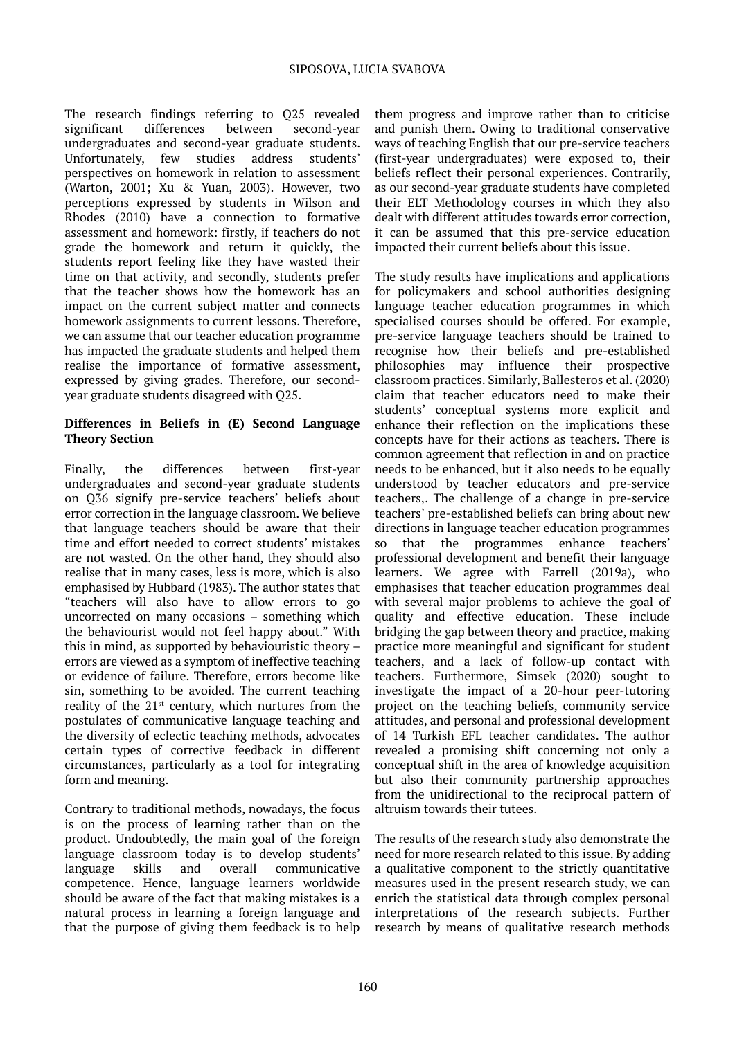The research findings referring to Q25 revealed significant differences between second-year undergraduates and second-year graduate students. Unfortunately, few studies address students' perspectives on homework in relation to assessment (Warton, 2001; Xu & Yuan, 2003). However, two perceptions expressed by students in Wilson and Rhodes (2010) have a connection to formative assessment and homework: firstly, if teachers do not grade the homework and return it quickly, the students report feeling like they have wasted their time on that activity, and secondly, students prefer that the teacher shows how the homework has an impact on the current subject matter and connects homework assignments to current lessons. Therefore, we can assume that our teacher education programme has impacted the graduate students and helped them realise the importance of formative assessment, expressed by giving grades. Therefore, our secondyear graduate students disagreed with Q25.

#### **Differences in Beliefs in (E) Second Language Theory Section**

Finally, the differences between first-year undergraduates and second-year graduate students on Q36 signify pre-service teachers' beliefs about error correction in the language classroom. We believe that language teachers should be aware that their time and effort needed to correct students' mistakes are not wasted. On the other hand, they should also realise that in many cases, less is more, which is also emphasised by Hubbard (1983). The author states that "teachers will also have to allow errors to go uncorrected on many occasions – something which the behaviourist would not feel happy about." With this in mind, as supported by behaviouristic theory – errors are viewed as a symptom of ineffective teaching or evidence of failure. Therefore, errors become like sin, something to be avoided. The current teaching reality of the 21st century, which nurtures from the postulates of communicative language teaching and the diversity of eclectic teaching methods, advocates certain types of corrective feedback in different circumstances, particularly as a tool for integrating form and meaning.

Contrary to traditional methods, nowadays, the focus is on the process of learning rather than on the product. Undoubtedly, the main goal of the foreign language classroom today is to develop students' language skills and overall communicative competence. Hence, language learners worldwide should be aware of the fact that making mistakes is a natural process in learning a foreign language and that the purpose of giving them feedback is to help

them progress and improve rather than to criticise and punish them. Owing to traditional conservative ways of teaching English that our pre-service teachers (first-year undergraduates) were exposed to, their beliefs reflect their personal experiences. Contrarily, as our second-year graduate students have completed their ELT Methodology courses in which they also dealt with different attitudes towards error correction, it can be assumed that this pre-service education impacted their current beliefs about this issue.

The study results have implications and applications for policymakers and school authorities designing language teacher education programmes in which specialised courses should be offered. For example, pre-service language teachers should be trained to recognise how their beliefs and pre-established philosophies may influence their prospective classroom practices. Similarly, Ballesteros et al. (2020) claim that teacher educators need to make their students' conceptual systems more explicit and enhance their reflection on the implications these concepts have for their actions as teachers. There is common agreement that reflection in and on practice needs to be enhanced, but it also needs to be equally understood by teacher educators and pre-service teachers,. The challenge of a change in pre-service teachers' pre-established beliefs can bring about new directions in language teacher education programmes so that the programmes enhance teachers' professional development and benefit their language learners. We agree with Farrell (2019a), who emphasises that teacher education programmes deal with several major problems to achieve the goal of quality and effective education. These include bridging the gap between theory and practice, making practice more meaningful and significant for student teachers, and a lack of follow-up contact with teachers. Furthermore, Simsek (2020) sought to investigate the impact of a 20-hour peer-tutoring project on the teaching beliefs, community service attitudes, and personal and professional development of 14 Turkish EFL teacher candidates. The author revealed a promising shift concerning not only a conceptual shift in the area of knowledge acquisition but also their community partnership approaches from the unidirectional to the reciprocal pattern of altruism towards their tutees.

The results of the research study also demonstrate the need for more research related to this issue. By adding a qualitative component to the strictly quantitative measures used in the present research study, we can enrich the statistical data through complex personal interpretations of the research subjects. Further research by means of qualitative research methods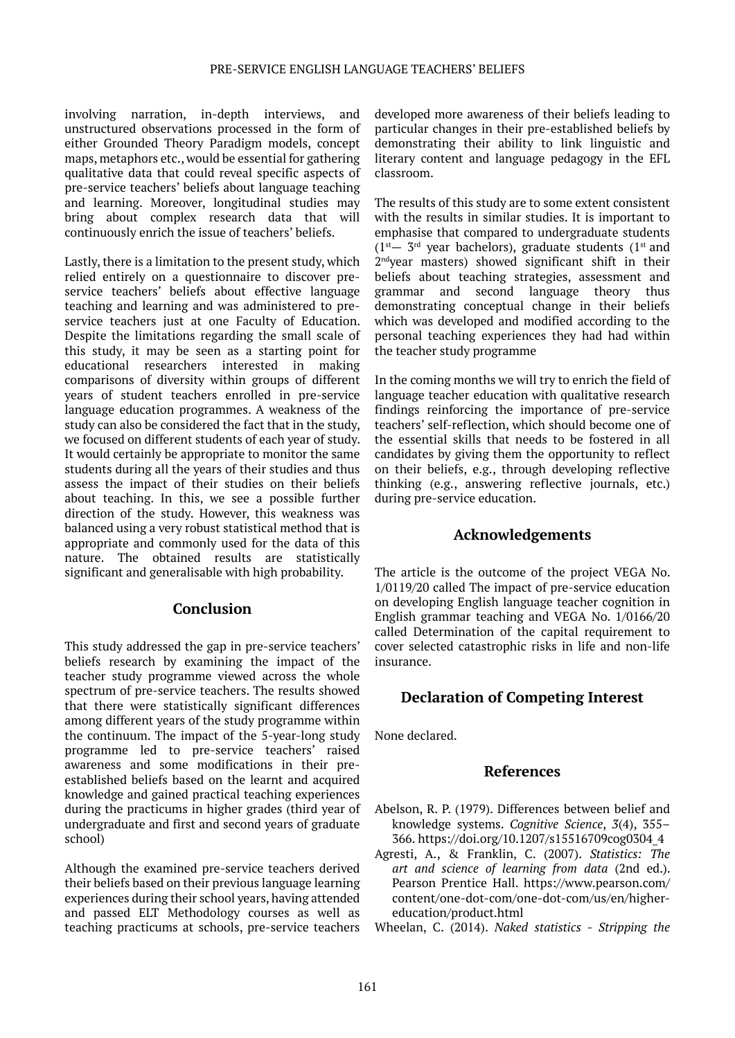involving narration, in-depth interviews, and unstructured observations processed in the form of either Grounded Theory Paradigm models, concept maps, metaphors etc., would be essential for gathering qualitative data that could reveal specific aspects of pre-service teachers' beliefs about language teaching and learning. Moreover, longitudinal studies may bring about complex research data that will continuously enrich the issue of teachers' beliefs.

Lastly, there is a limitation to the present study, which relied entirely on a questionnaire to discover preservice teachers' beliefs about effective language teaching and learning and was administered to preservice teachers just at one Faculty of Education. Despite the limitations regarding the small scale of this study, it may be seen as a starting point for educational researchers interested in making comparisons of diversity within groups of different years of student teachers enrolled in pre-service language education programmes. A weakness of the study can also be considered the fact that in the study, we focused on different students of each year of study. It would certainly be appropriate to monitor the same students during all the years of their studies and thus assess the impact of their studies on their beliefs about teaching. In this, we see a possible further direction of the study. However, this weakness was balanced using a very robust statistical method that is appropriate and commonly used for the data of this nature. The obtained results are statistically significant and generalisable with high probability.

#### **Conclusion**

This study addressed the gap in pre-service teachers' beliefs research by examining the impact of the teacher study programme viewed across the whole spectrum of pre-service teachers. The results showed that there were statistically significant differences among different years of the study programme within the continuum. The impact of the 5-year-long study programme led to pre-service teachers' raised awareness and some modifications in their preestablished beliefs based on the learnt and acquired knowledge and gained practical teaching experiences during the practicums in higher grades (third year of undergraduate and first and second years of graduate school)

Although the examined pre-service teachers derived their beliefs based on their previous language learning experiences during their school years, having attended and passed ELT Methodology courses as well as teaching practicums at schools, pre-service teachers developed more awareness of their beliefs leading to particular changes in their pre-established beliefs by demonstrating their ability to link linguistic and literary content and language pedagogy in the EFL classroom.

The results of this study are to some extent consistent with the results in similar studies. It is important to emphasise that compared to undergraduate students  $(1<sup>st</sup> - 3<sup>rd</sup>$  year bachelors), graduate students  $(1<sup>st</sup>$  and 2ndyear masters) showed significant shift in their beliefs about teaching strategies, assessment and grammar and second language theory thus demonstrating conceptual change in their beliefs which was developed and modified according to the personal teaching experiences they had had within the teacher study programme

In the coming months we will try to enrich the field of language teacher education with qualitative research findings reinforcing the importance of pre-service teachers' self-reflection, which should become one of the essential skills that needs to be fostered in all candidates by giving them the opportunity to reflect on their beliefs, e.g., through developing reflective thinking (e.g., answering reflective journals, etc.) during pre-service education.

# **Acknowledgements**

The article is the outcome of the project VEGA No. 1/0119/20 called The impact of pre-service education on developing English language teacher cognition in English grammar teaching and VEGA No. 1/0166/20 called Determination of the capital requirement to cover selected catastrophic risks in life and non-life insurance.

# **Declaration of Competing Interest**

None declared.

#### **References**

- Abelson, R. P. (1979). Differences between belief and knowledge systems. *Cognitive Science*, *3*(4), 355– 366. https://doi.org/10.1207/s15516709cog0304\_4
- Agresti, A., & Franklin, C. (2007). *Statistics: The art and science of learning from data* (2nd ed.). Pearson Prentice Hall. https://www.pearson.com/ content/one-dot-com/one-dot-com/us/en/highereducation/product.html
- Wheelan, C. (2014). *Naked statistics Stripping the*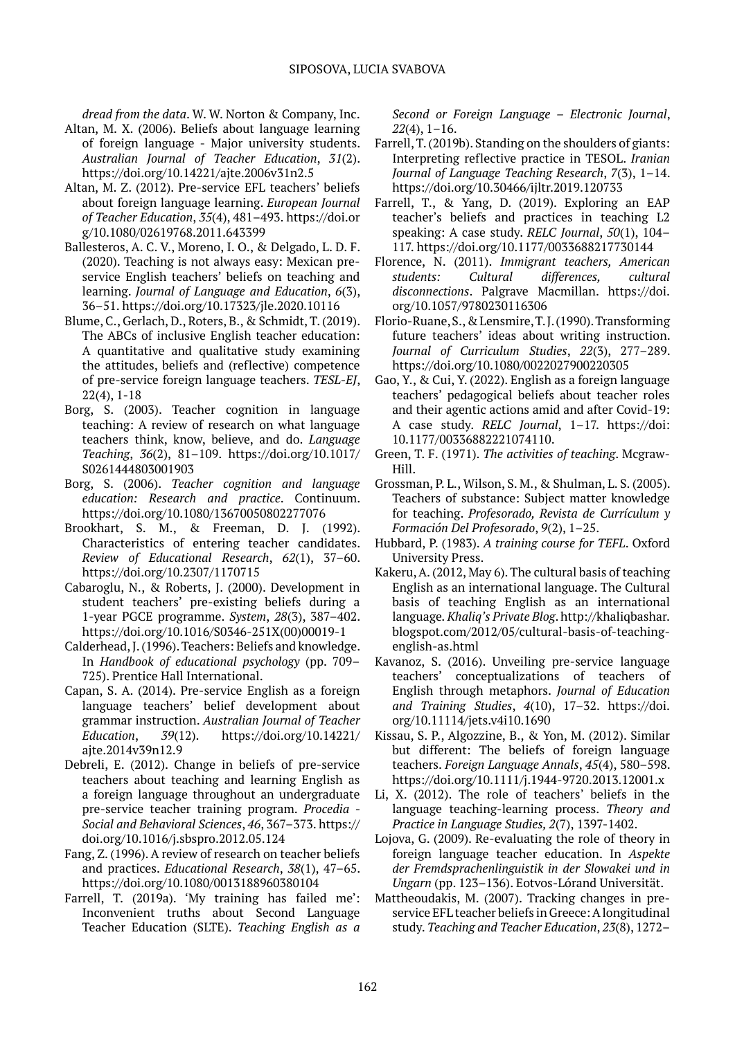*dread from the data*. W. W. Norton & Company, Inc.

- Altan, M. X. (2006). Beliefs about language learning of foreign language - Major university students. *Australian Journal of Teacher Education*, *31*(2). https://doi.org/10.14221/ajte.2006v31n2.5
- Altan, M. Z. (2012). Pre-service EFL teachers' beliefs about foreign language learning. *European Journal of Teacher Education*, *35*(4), 481–493. https://doi.or g/10.1080/02619768.2011.643399
- Ballesteros, A. C. V., Moreno, I. O., & Delgado, L. D. F. (2020). Teaching is not always easy: Mexican preservice English teachers' beliefs on teaching and learning. *Journal of Language and Education*, *6*(3), 36–51. https://doi.org/10.17323/jle.2020.10116
- Blume, C., Gerlach, D., Roters, B., & Schmidt, T. (2019). The ABCs of inclusive English teacher education: A quantitative and qualitative study examining the attitudes, beliefs and (reflective) competence of pre-service foreign language teachers. *TESL-EJ*, 22(4), 1-18
- Borg, S. (2003). Teacher cognition in language teaching: A review of research on what language teachers think, know, believe, and do. *Language Teaching*, *36*(2), 81–109. https://doi.org/10.1017/ S0261444803001903
- Borg, S. (2006). *Teacher cognition and language education: Research and practice*. Continuum. https://doi.org/10.1080/13670050802277076
- Brookhart, S. M., & Freeman, D. J. (1992). Characteristics of entering teacher candidates. *Review of Educational Research*, *62*(1), 37–60. https://doi.org/10.2307/1170715
- Cabaroglu, N., & Roberts, J. (2000). Development in student teachers' pre-existing beliefs during a 1-year PGCE programme. *System*, *28*(3), 387–402. https://doi.org/10.1016/S0346-251X(00)00019-1
- Calderhead, J. (1996). Teachers: Beliefs and knowledge. In *Handbook of educational psychology* (pp. 709– 725). Prentice Hall International.
- Capan, S. A. (2014). Pre-service English as a foreign language teachers' belief development about grammar instruction. *Australian Journal of Teacher Education*, *39*(12). https://doi.org/10.14221/ ajte.2014v39n12.9
- Debreli, E. (2012). Change in beliefs of pre-service teachers about teaching and learning English as a foreign language throughout an undergraduate pre-service teacher training program. *Procedia - Social and Behavioral Sciences*, *46*, 367–373. https:// doi.org/10.1016/j.sbspro.2012.05.124
- Fang, Z. (1996). A review of research on teacher beliefs and practices. *Educational Research*, *38*(1), 47–65. https://doi.org/10.1080/0013188960380104
- Farrell, T. (2019a). 'My training has failed me': Inconvenient truths about Second Language Teacher Education (SLTE). *Teaching English as a*

*Second or Foreign Language – Electronic Journal*, *22*(4), 1–16.

- Farrell, T. (2019b). Standing on the shoulders of giants: Interpreting reflective practice in TESOL. *Iranian Journal of Language Teaching Research*, *7*(3), 1–14. <https://doi.org/10.30466/ijltr.2019.120733>
- Farrell, T., & Yang, D. (2019). Exploring an EAP teacher's beliefs and practices in teaching L2 speaking: A case study. *RELC Journal*, *50*(1), 104– 117. https://doi.org/10.1177/0033688217730144
- Florence, N. (2011). *Immigrant teachers, American students: Cultural differences, cultural disconnections*. Palgrave Macmillan. https://doi. org/10.1057/9780230116306
- Florio-Ruane, S., & Lensmire, T. J. (1990). Transforming future teachers' ideas about writing instruction. *Journal of Curriculum Studies*, *22*(3), 277–289. https://doi.org/10.1080/0022027900220305
- Gao, Y., & Cui, Y. (2022). English as a foreign language teachers' pedagogical beliefs about teacher roles and their agentic actions amid and after Covid-19: A case study. *RELC Journal*, 1–17. https://doi: 10.1177/00336882221074110.
- Green, T. F. (1971). *The activities of teaching*. Mcgraw-Hill.
- Grossman, P. L., Wilson, S. M., & Shulman, L. S. (2005). Teachers of substance: Subject matter knowledge for teaching. *Profesorado, Revista de Currículum y Formación Del Profesorado*, *9*(2), 1–25.
- Hubbard, P. (1983). *A training course for TEFL*. Oxford University Press.
- Kakeru, A. (2012, May 6). The cultural basis of teaching English as an international language. The Cultural basis of teaching English as an international language*. Khaliq's Private Blog*. http://khaliqbashar. blogspot.com/2012/05/cultural-basis-of-teachingenglish-as.html
- Kavanoz, S. (2016). Unveiling pre-service language teachers' conceptualizations of teachers of English through metaphors. *Journal of Education and Training Studies*, *4*(10), 17–32. https://doi. org/10.11114/jets.v4i10.1690
- Kissau, S. P., Algozzine, B., & Yon, M. (2012). Similar but different: The beliefs of foreign language teachers. *Foreign Language Annals*, *45*(4), 580–598. https://doi.org/10.1111/j.1944-9720.2013.12001.x
- Li, X. (2012). The role of teachers' beliefs in the language teaching-learning process. *Theory and Practice in Language Studies, 2*(7), 1397-1402.
- Lojova, G. (2009). Re-evaluating the role of theory in foreign language teacher education. In *Aspekte der Fremdsprachenlinguistik in der Slowakei und in Ungarn* (pp. 123–136). Eotvos-Lórand Universität.
- Mattheoudakis, M. (2007). Tracking changes in preservice EFL teacher beliefs in Greece: A longitudinal study. *Teaching and Teacher Education*, *23*(8), 1272–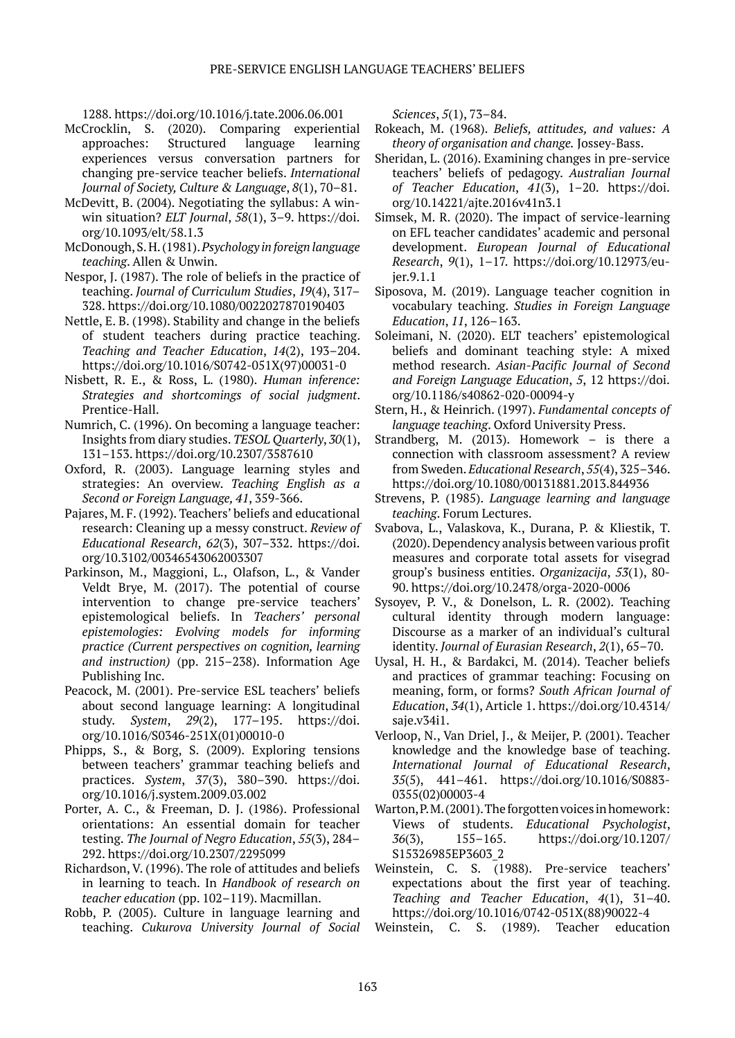1288. https://doi.org/10.1016/j.tate.2006.06.001

- McCrocklin, S. (2020). Comparing experiential approaches: Structured language learning experiences versus conversation partners for changing pre-service teacher beliefs. *International Journal of Society, Culture & Language*, *8*(1), 70–81.
- McDevitt, B. (2004). Negotiating the syllabus: A winwin situation? *ELT Journal*, *58*(1), 3–9. https://doi. org/10.1093/elt/58.1.3
- McDonough, S. H. (1981). *Psychology in foreign language teaching*. Allen & Unwin.
- Nespor, J. (1987). The role of beliefs in the practice of teaching. *Journal of Curriculum Studies*, *19*(4), 317– 328. https://doi.org/10.1080/0022027870190403
- Nettle, E. B. (1998). Stability and change in the beliefs of student teachers during practice teaching. *Teaching and Teacher Education*, *14*(2), 193–204. https://doi.org/10.1016/S0742-051X(97)00031-0
- Nisbett, R. E., & Ross, L. (1980). *Human inference: Strategies and shortcomings of social judgment*. Prentice-Hall.
- Numrich, C. (1996). On becoming a language teacher: Insights from diary studies. *TESOL Quarterly*, *30*(1), 131–153. https://doi.org/10.2307/3587610
- Oxford, R. (2003). Language learning styles and strategies: An overview. *Teaching English as a Second or Foreign Language, 41*, 359-366.
- Pajares, M. F. (1992). Teachers' beliefs and educational research: Cleaning up a messy construct. *Review of Educational Research*, *62*(3), 307–332. https://doi. org/10.3102/00346543062003307
- Parkinson, M., Maggioni, L., Olafson, L., & Vander Veldt Brye, M. (2017). The potential of course intervention to change pre-service teachers' epistemological beliefs. In *Teachers' personal epistemologies: Evolving models for informing practice (Current perspectives on cognition, learning and instruction)* (pp. 215–238). Information Age Publishing Inc.
- Peacock, M. (2001). Pre-service ESL teachers' beliefs about second language learning: A longitudinal study. *System*, *29*(2), 177–195. https://doi. org/10.1016/S0346-251X(01)00010-0
- Phipps, S., & Borg, S. (2009). Exploring tensions between teachers' grammar teaching beliefs and practices. *System*, *37*(3), 380–390. https://doi. org/10.1016/j.system.2009.03.002
- Porter, A. C., & Freeman, D. J. (1986). Professional orientations: An essential domain for teacher testing. *The Journal of Negro Education*, *55*(3), 284– 292. https://doi.org/10.2307/2295099
- Richardson, V. (1996). The role of attitudes and beliefs in learning to teach. In *Handbook of research on teacher education* (pp. 102–119). Macmillan.
- Robb, P. (2005). Culture in language learning and teaching. *Cukurova University Journal of Social*

*Sciences*, *5*(1), 73–84.

- Rokeach, M. (1968). *Beliefs, attitudes, and values: A theory of organisation and change.* Jossey-Bass.
- Sheridan, L. (2016). Examining changes in pre-service teachers' beliefs of pedagogy. *Australian Journal of Teacher Education*, *41*(3), 1–20. https://doi. org/10.14221/ajte.2016v41n3.1
- Simsek, M. R. (2020). The impact of service-learning on EFL teacher candidates' academic and personal development. *European Journal of Educational Research*, *9*(1), 1–17. https://doi.org/10.12973/eujer.9.1.1
- Siposova, M. (2019). Language teacher cognition in vocabulary teaching. *Studies in Foreign Language Education*, *11*, 126–163.
- Soleimani, N. (2020). ELT teachers' epistemological beliefs and dominant teaching style: A mixed method research. *Asian-Pacific Journal of Second and Foreign Language Education*, *5*, 12 https://doi. org/10.1186/s40862-020-00094-y
- Stern, H., & Heinrich. (1997). *Fundamental concepts of language teaching*. Oxford University Press.
- Strandberg, M. (2013). Homework is there a connection with classroom assessment? A review from Sweden. *Educational Research*, *55*(4), 325–346. https://doi.org/10.1080/00131881.2013.844936
- Strevens, P. (1985). *Language learning and language teaching*. Forum Lectures.
- Svabova, L., Valaskova, K., Durana, P. & Kliestik, T. (2020). Dependency analysis between various profit measures and corporate total assets for visegrad group's business entities. *Organizacija*, *53*(1), 80- 90. https://doi.org/10.2478/orga-2020-0006
- Sysoyev, P. V., & Donelson, L. R. (2002). Teaching cultural identity through modern language: Discourse as a marker of an individual's cultural identity. *Journal of Eurasian Research*, *2*(1), 65–70.
- Uysal, H. H., & Bardakci, M. (2014). Teacher beliefs and practices of grammar teaching: Focusing on meaning, form, or forms? *South African Journal of Education*, *34*(1), Article 1. https://doi.org/10.4314/ saje.v34i1.
- Verloop, N., Van Driel, J., & Meijer, P. (2001). Teacher knowledge and the knowledge base of teaching. *International Journal of Educational Research*, *35*(5), 441–461. https://doi.org/10.1016/S0883- 0355(02)00003-4
- Warton, P. M. (2001). The forgotten voices in homework: Views of students. *Educational Psychologist*, *36*(3), 155–165. https://doi.org/10.1207/ S15326985EP3603\_2
- Weinstein, C. S. (1988). Pre-service teachers' expectations about the first year of teaching. *Teaching and Teacher Education*, *4*(1), 31–40. https://doi.org/10.1016/0742-051X(88)90022-4
- Weinstein, C. S. (1989). Teacher education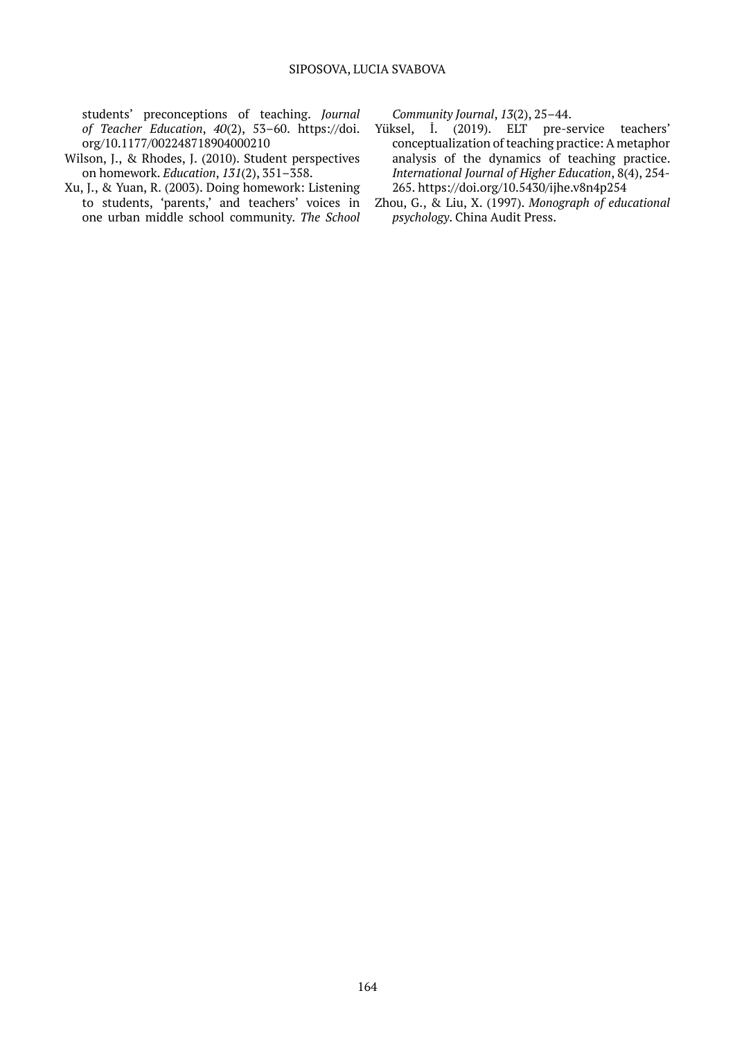students' preconceptions of teaching. *Journal of Teacher Education*, *40*(2), 53–60. https://doi. org/10.1177/002248718904000210

- Wilson, J., & Rhodes, J. (2010). Student perspectives on homework. *Education*, *131*(2), 351–358.
- Xu, J., & Yuan, R. (2003). Doing homework: Listening to students, 'parents,' and teachers' voices in one urban middle school community. *The School*

*Community Journal*, *13*(2), 25–44.

- Yüksel, İ. (2019). ELT pre-service teachers' conceptualization of teaching practice: A metaphor analysis of the dynamics of teaching practice. *International Journal of Higher Education*, 8(4), 254- 265. https://doi.org/10.5430/ijhe.v8n4p254
- Zhou, G., & Liu, X. (1997). *Monograph of educational psychology*. China Audit Press.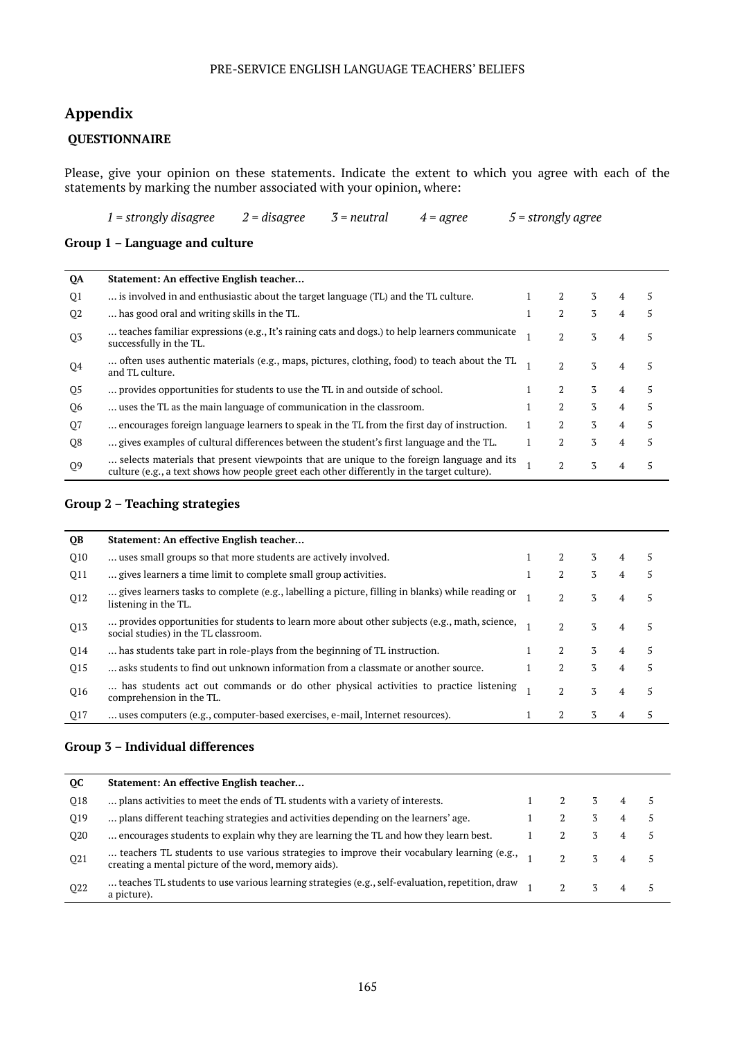#### PRE-SERVICE ENGLISH LANGUAGE TEACHERS' BELIEFS

# **Appendix**

### **QUESTIONNAIRE**

Please, give your opinion on these statements. Indicate the extent to which you agree with each of the statements by marking the number associated with your opinion, where:

*1 = strongly disagree 2 = disagree 3 = neutral 4 = agree 5 = strongly agree*

#### **Group 1 – Language and culture**

| QA             | Statement: An effective English teacher                                                                                                                                                  |                |   |   |   |
|----------------|------------------------------------------------------------------------------------------------------------------------------------------------------------------------------------------|----------------|---|---|---|
| Q1             | is involved in and enthusiastic about the target language (TL) and the TL culture.                                                                                                       |                | 3 | 4 | 5 |
| Q <sub>2</sub> | has good oral and writing skills in the TL.                                                                                                                                              | 2              | 3 | 4 | 5 |
| Q <sub>3</sub> | teaches familiar expressions (e.g., It's raining cats and dogs.) to help learners communicate<br>successfully in the TL.                                                                 | 2              | 3 | 4 | 5 |
| 04             | often uses authentic materials (e.g., maps, pictures, clothing, food) to teach about the TL<br>and TL culture.                                                                           | $\overline{2}$ | 3 |   | 5 |
| Q5             | provides opportunities for students to use the TL in and outside of school.                                                                                                              | 2              | 3 | 4 | 5 |
| Q6             | uses the TL as the main language of communication in the classroom.                                                                                                                      | $\overline{2}$ | 3 | 4 | 5 |
| Q7             | encourages foreign language learners to speak in the TL from the first day of instruction.                                                                                               | 2              | 3 | 4 | 5 |
| Q8             | gives examples of cultural differences between the student's first language and the TL.                                                                                                  | 2              | 3 | 4 | 5 |
| Q <sub>9</sub> | selects materials that present viewpoints that are unique to the foreign language and its<br>culture (e.g., a text shows how people greet each other differently in the target culture). | 2              | 3 |   | 5 |

### **Group 2 – Teaching strategies**

| <b>QB</b> | Statement: An effective English teacher                                                                                              |                |   |                |   |
|-----------|--------------------------------------------------------------------------------------------------------------------------------------|----------------|---|----------------|---|
| Q10       | uses small groups so that more students are actively involved.                                                                       | $\mathfrak{D}$ | 3 | $\overline{4}$ | 5 |
| Q11       | gives learners a time limit to complete small group activities.                                                                      | 2              | 3 | 4              | 5 |
| Q12       | gives learners tasks to complete (e.g., labelling a picture, filling in blanks) while reading or<br>listening in the TL.             | $\mathfrak{D}$ | 3 | 4              | 5 |
| Q13       | provides opportunities for students to learn more about other subjects (e.g., math, science,<br>social studies) in the TL classroom. | $\mathfrak{D}$ | 3 | 4              | 5 |
| Q14       | has students take part in role-plays from the beginning of TL instruction.                                                           | 2              | 3 | 4              | 5 |
| Q15       | asks students to find out unknown information from a classmate or another source.                                                    | $\mathfrak{D}$ | 3 | 4              | 5 |
| Q16       | has students act out commands or do other physical activities to practice listening<br>comprehension in the TL.                      | $\mathfrak{D}$ | 3 | 4              | 5 |
| Q17       | uses computers (e.g., computer-based exercises, e-mail, Internet resources).                                                         | 2              | 3 | 4              | 5 |
|           |                                                                                                                                      |                |   |                |   |

#### **Group 3 – Individual differences**

| <b>OC</b>       | Statement: An effective English teacher                                                                                                            |  |   |  |
|-----------------|----------------------------------------------------------------------------------------------------------------------------------------------------|--|---|--|
| O <sub>18</sub> | plans activities to meet the ends of TL students with a variety of interests.                                                                      |  | 3 |  |
| O <sub>19</sub> | plans different teaching strategies and activities depending on the learners' age.                                                                 |  | 3 |  |
| O <sub>20</sub> | encourages students to explain why they are learning the TL and how they learn best.                                                               |  | 3 |  |
| Q21             | teachers TL students to use various strategies to improve their vocabulary learning (e.g.,<br>creating a mental picture of the word, memory aids). |  |   |  |
| Q <sub>22</sub> | teaches TL students to use various learning strategies (e.g., self-evaluation, repetition, draw<br>a picture).                                     |  |   |  |